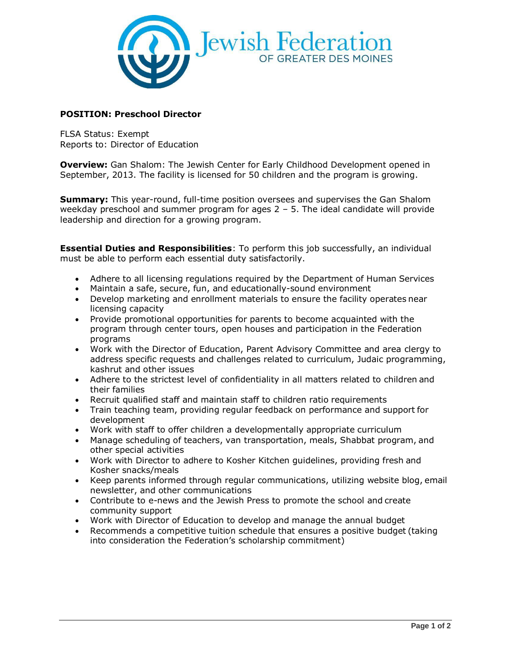

# **POSITION: Preschool Director**

FLSA Status: Exempt Reports to: Director of Education

**Overview:** Gan Shalom: The Jewish Center for Early Childhood Development opened in September, 2013. The facility is licensed for 50 children and the program is growing.

**Summary:** This year-round, full-time position oversees and supervises the Gan Shalom weekday preschool and summer program for ages  $2 - 5$ . The ideal candidate will provide leadership and direction for a growing program.

**Essential Duties and Responsibilities**: To perform this job successfully, an individual must be able to perform each essential duty satisfactorily.

- Adhere to all licensing regulations required by the Department of Human Services
- Maintain a safe, secure, fun, and educationally-sound environment
- Develop marketing and enrollment materials to ensure the facility operates near licensing capacity
- Provide promotional opportunities for parents to become acquainted with the program through center tours, open houses and participation in the Federation programs
- Work with the Director of Education, Parent Advisory Committee and area clergy to address specific requests and challenges related to curriculum, Judaic programming, kashrut and other issues
- Adhere to the strictest level of confidentiality in all matters related to children and their families
- Recruit qualified staff and maintain staff to children ratio requirements
- Train teaching team, providing regular feedback on performance and support for development
- Work with staff to offer children a developmentally appropriate curriculum
- Manage scheduling of teachers, van transportation, meals, Shabbat program, and other special activities
- Work with Director to adhere to Kosher Kitchen guidelines, providing fresh and Kosher snacks/meals
- Keep parents informed through regular communications, utilizing website blog, email newsletter, and other communications
- Contribute to e-news and the Jewish Press to promote the school and create community support
- Work with Director of Education to develop and manage the annual budget
- Recommends a competitive tuition schedule that ensures a positive budget (taking into consideration the Federation's scholarship commitment)